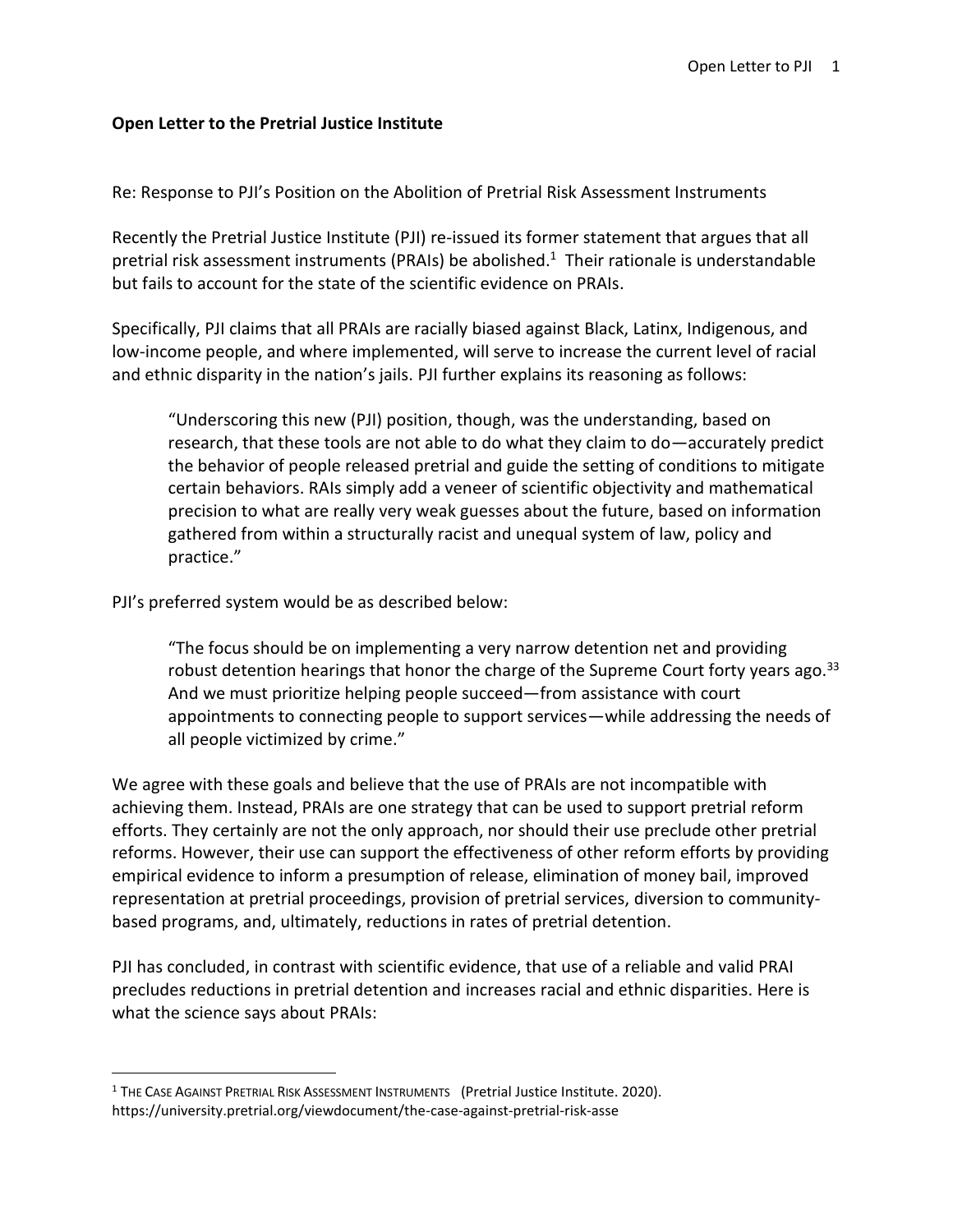## **Open Letter to the Pretrial Justice Institute**

Re: Response to PJI's Position on the Abolition of Pretrial Risk Assessment Instruments

Recently the Pretrial Justice Institute (PJI) re-issued its former statement that argues that all pretrial risk assessment instruments (PRAIs) be abolished.<sup>1</sup> Their rationale is understandable but fails to account for the state of the scientific evidence on PRAIs.

Specifically, PJI claims that all PRAIs are racially biased against Black, Latinx, Indigenous, and low-income people, and where implemented, will serve to increase the current level of racial and ethnic disparity in the nation's jails. PJI further explains its reasoning as follows:

"Underscoring this new (PJI) position, though, was the understanding, based on research, that these tools are not able to do what they claim to do—accurately predict the behavior of people released pretrial and guide the setting of conditions to mitigate certain behaviors. RAIs simply add a veneer of scientific objectivity and mathematical precision to what are really very weak guesses about the future, based on information gathered from within a structurally racist and unequal system of law, policy and practice."

PJI's preferred system would be as described below:

"The focus should be on implementing a very narrow detention net and providing robust detention hearings that honor the charge of the Supreme Court forty years ago.<sup>33</sup> And we must prioritize helping people succeed—from assistance with court appointments to connecting people to support services—while addressing the needs of all people victimized by crime."

We agree with these goals and believe that the use of PRAIs are not incompatible with achieving them. Instead, PRAIs are one strategy that can be used to support pretrial reform efforts. They certainly are not the only approach, nor should their use preclude other pretrial reforms. However, their use can support the effectiveness of other reform efforts by providing empirical evidence to inform a presumption of release, elimination of money bail, improved representation at pretrial proceedings, provision of pretrial services, diversion to communitybased programs, and, ultimately, reductions in rates of pretrial detention.

PJI has concluded, in contrast with scientific evidence, that use of a reliable and valid PRAI precludes reductions in pretrial detention and increases racial and ethnic disparities. Here is what the science says about PRAIs:

<sup>&</sup>lt;sup>1</sup> THE CASE AGAINST PRETRIAL RISK ASSESSMENT INSTRUMENTS (Pretrial Justice Institute. 2020). https://university.pretrial.org/viewdocument/the-case-against-pretrial-risk-asse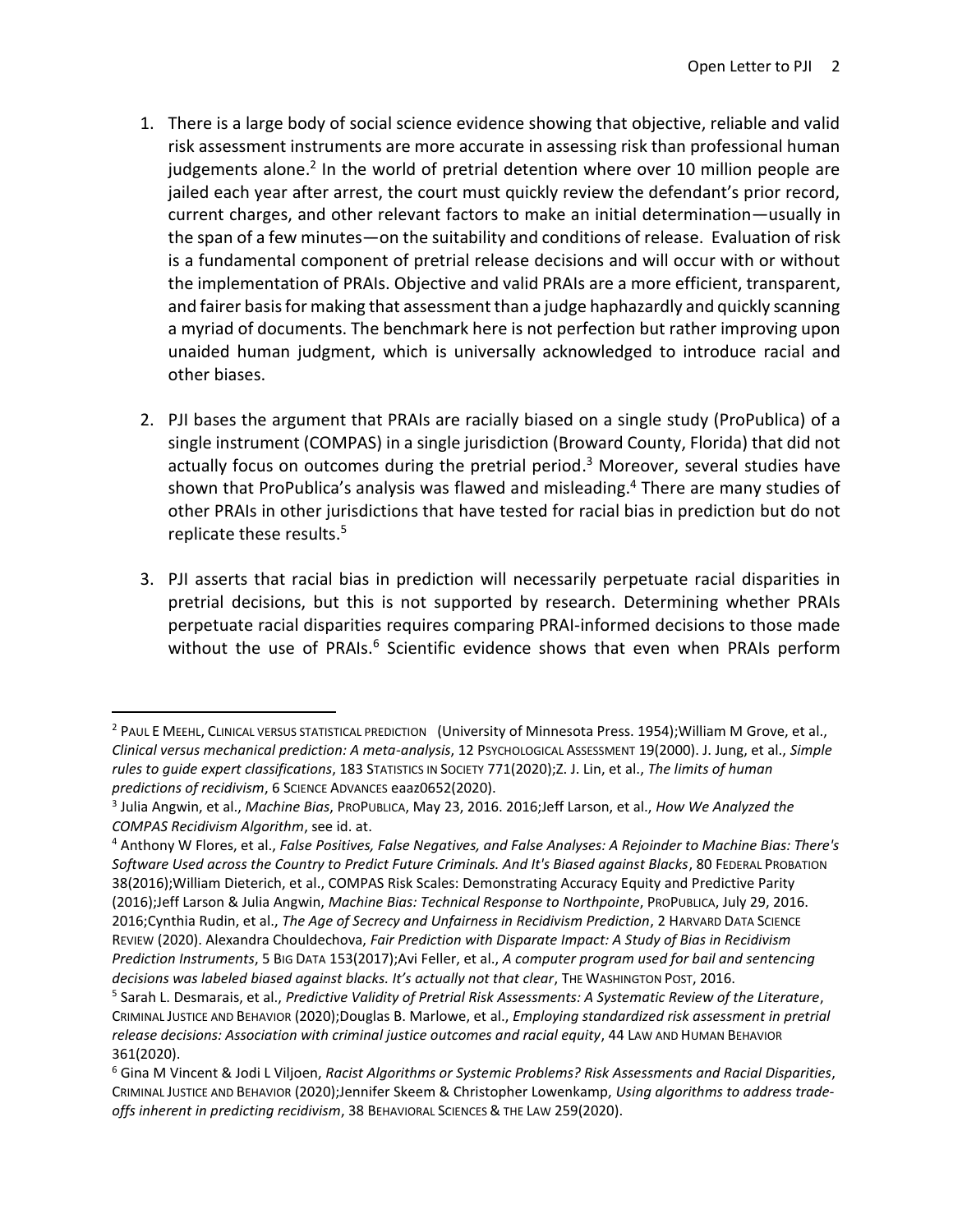- 1. There is a large body of social science evidence showing that objective, reliable and valid risk assessment instruments are more accurate in assessing risk than professional human judgements alone.<sup>2</sup> In the world of pretrial detention where over 10 million people are jailed each year after arrest, the court must quickly review the defendant's prior record, current charges, and other relevant factors to make an initial determination—usually in the span of a few minutes—on the suitability and conditions of release. Evaluation of risk is a fundamental component of pretrial release decisions and will occur with or without the implementation of PRAIs. Objective and valid PRAIs are a more efficient, transparent, and fairer basis for making that assessment than a judge haphazardly and quickly scanning a myriad of documents. The benchmark here is not perfection but rather improving upon unaided human judgment, which is universally acknowledged to introduce racial and other biases.
- 2. PJI bases the argument that PRAIs are racially biased on a single study (ProPublica) of a single instrument (COMPAS) in a single jurisdiction (Broward County, Florida) that did not actually focus on outcomes during the pretrial period.<sup>3</sup> Moreover, several studies have shown that ProPublica's analysis was flawed and misleading. <sup>4</sup> There are many studies of other PRAIs in other jurisdictions that have tested for racial bias in prediction but do not replicate these results.<sup>5</sup>
- 3. PJI asserts that racial bias in prediction will necessarily perpetuate racial disparities in pretrial decisions, but this is not supported by research. Determining whether PRAIs perpetuate racial disparities requires comparing PRAI-informed decisions to those made without the use of PRAIs.<sup>6</sup> Scientific evidence shows that even when PRAIs perform

<sup>2</sup> PAUL E MEEHL, CLINICAL VERSUS STATISTICAL PREDICTION (University of Minnesota Press. 1954);William M Grove, et al., *Clinical versus mechanical prediction: A meta-analysis*, 12 PSYCHOLOGICAL ASSESSMENT 19(2000). J. Jung, et al., *Simple rules to guide expert classifications*, 183 STATISTICS IN SOCIETY 771(2020);Z. J. Lin, et al., *The limits of human predictions of recidivism*, 6 SCIENCE ADVANCES eaaz0652(2020).

<sup>3</sup> Julia Angwin, et al., *Machine Bias*, PROPUBLICA, May 23, 2016. 2016;Jeff Larson, et al., *How We Analyzed the COMPAS Recidivism Algorithm*, see id. at.

<sup>4</sup> Anthony W Flores, et al., *False Positives, False Negatives, and False Analyses: A Rejoinder to Machine Bias: There's Software Used across the Country to Predict Future Criminals. And It's Biased against Blacks*, 80 FEDERAL PROBATION 38(2016);William Dieterich, et al., COMPAS Risk Scales: Demonstrating Accuracy Equity and Predictive Parity (2016);Jeff Larson & Julia Angwin, *Machine Bias: Technical Response to Northpointe*, PROPUBLICA, July 29, 2016. 2016;Cynthia Rudin, et al., *The Age of Secrecy and Unfairness in Recidivism Prediction*, 2 HARVARD DATA SCIENCE REVIEW (2020). Alexandra Chouldechova, *Fair Prediction with Disparate Impact: A Study of Bias in Recidivism Prediction Instruments*, 5 BIG DATA 153(2017);Avi Feller, et al., *A computer program used for bail and sentencing decisions was labeled biased against blacks. It's actually not that clear*, THE WASHINGTON POST, 2016.

<sup>5</sup> Sarah L. Desmarais, et al., *Predictive Validity of Pretrial Risk Assessments: A Systematic Review of the Literature*, CRIMINAL JUSTICE AND BEHAVIOR (2020);Douglas B. Marlowe, et al., *Employing standardized risk assessment in pretrial release decisions: Association with criminal justice outcomes and racial equity*, 44 LAW AND HUMAN BEHAVIOR 361(2020).

<sup>6</sup> Gina M Vincent & Jodi L Viljoen, *Racist Algorithms or Systemic Problems? Risk Assessments and Racial Disparities*, CRIMINAL JUSTICE AND BEHAVIOR (2020);Jennifer Skeem & Christopher Lowenkamp, *Using algorithms to address trade‐ offs inherent in predicting recidivism*, 38 BEHAVIORAL SCIENCES & THE LAW 259(2020).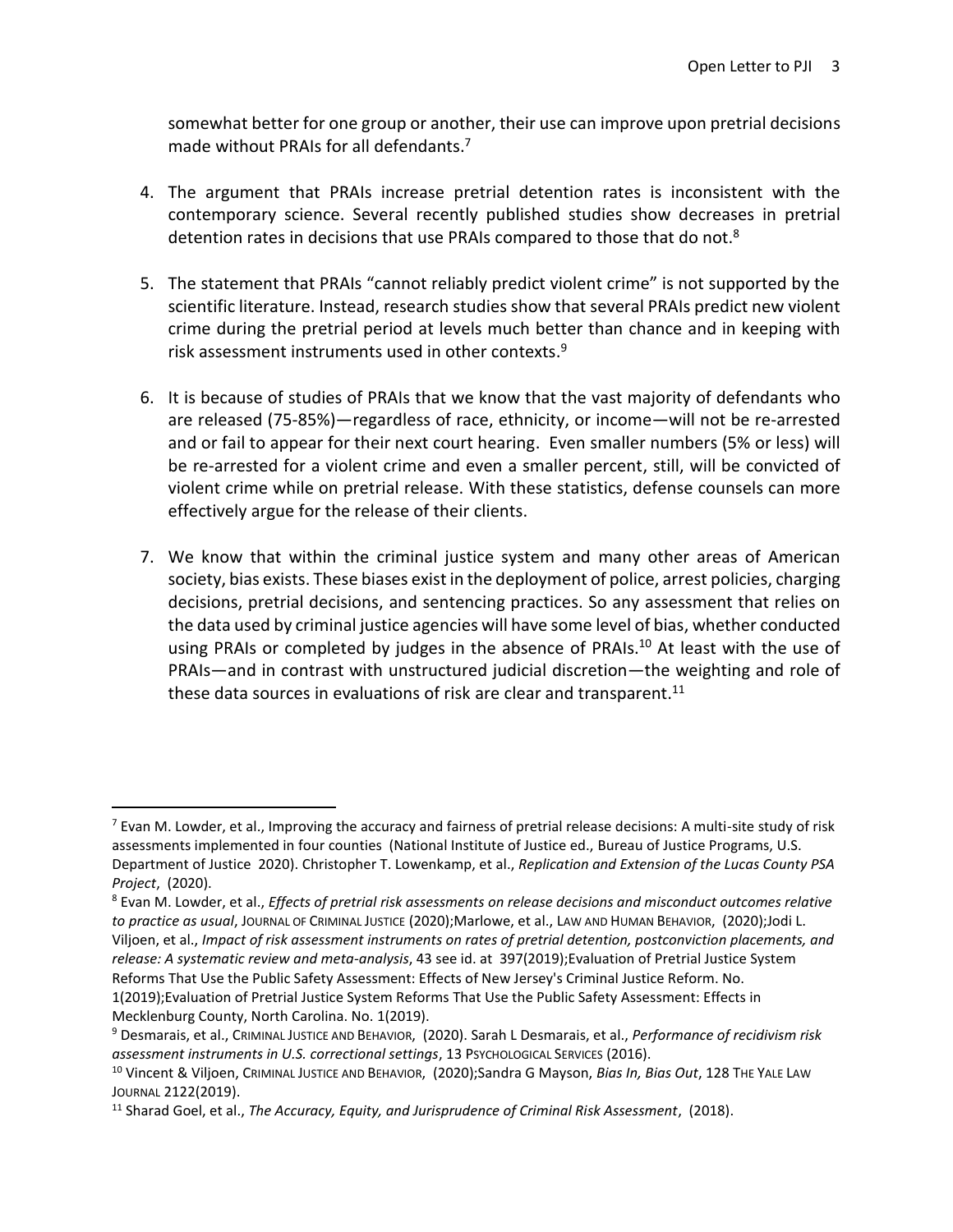somewhat better for one group or another, their use can improve upon pretrial decisions made without PRAIs for all defendants. 7

- 4. The argument that PRAIs increase pretrial detention rates is inconsistent with the contemporary science. Several recently published studies show decreases in pretrial detention rates in decisions that use PRAIs compared to those that do not.<sup>8</sup>
- 5. The statement that PRAIs "cannot reliably predict violent crime" is not supported by the scientific literature. Instead, research studies show that several PRAIs predict new violent crime during the pretrial period at levels much better than chance and in keeping with risk assessment instruments used in other contexts. 9
- 6. It is because of studies of PRAIs that we know that the vast majority of defendants who are released (75-85%)—regardless of race, ethnicity, or income—will not be re-arrested and or fail to appear for their next court hearing. Even smaller numbers (5% or less) will be re-arrested for a violent crime and even a smaller percent, still, will be convicted of violent crime while on pretrial release. With these statistics, defense counsels can more effectively argue for the release of their clients.
- 7. We know that within the criminal justice system and many other areas of American society, bias exists. These biases exist in the deployment of police, arrest policies, charging decisions, pretrial decisions, and sentencing practices. So any assessment that relies on the data used by criminal justice agencies will have some level of bias, whether conducted using PRAIs or completed by judges in the absence of PRAIs.<sup>10</sup> At least with the use of PRAIs—and in contrast with unstructured judicial discretion—the weighting and role of these data sources in evaluations of risk are clear and transparent.<sup>11</sup>

 $^7$  Evan M. Lowder, et al., Improving the accuracy and fairness of pretrial release decisions: A multi-site study of risk assessments implemented in four counties (National Institute of Justice ed., Bureau of Justice Programs, U.S. Department of Justice 2020). Christopher T. Lowenkamp, et al., *Replication and Extension of the Lucas County PSA Project*, (2020).

<sup>8</sup> Evan M. Lowder, et al., *Effects of pretrial risk assessments on release decisions and misconduct outcomes relative to practice as usual*, JOURNAL OF CRIMINAL JUSTICE (2020);Marlowe, et al., LAW AND HUMAN BEHAVIOR, (2020);Jodi L. Viljoen, et al., *Impact of risk assessment instruments on rates of pretrial detention, postconviction placements, and release: A systematic review and meta-analysis*, 43 see id. at 397(2019);Evaluation of Pretrial Justice System Reforms That Use the Public Safety Assessment: Effects of New Jersey's Criminal Justice Reform. No. 1(2019);Evaluation of Pretrial Justice System Reforms That Use the Public Safety Assessment: Effects in Mecklenburg County, North Carolina. No. 1(2019).

<sup>9</sup> Desmarais, et al., CRIMINAL JUSTICE AND BEHAVIOR, (2020). Sarah L Desmarais, et al., *Performance of recidivism risk assessment instruments in U.S. correctional settings*, 13 PSYCHOLOGICAL SERVICES (2016).

<sup>10</sup> Vincent & Viljoen, CRIMINAL JUSTICE AND BEHAVIOR, (2020);Sandra G Mayson, *Bias In, Bias Out*, 128 THE YALE LAW JOURNAL 2122(2019).

<sup>11</sup> Sharad Goel, et al., *The Accuracy, Equity, and Jurisprudence of Criminal Risk Assessment*, (2018).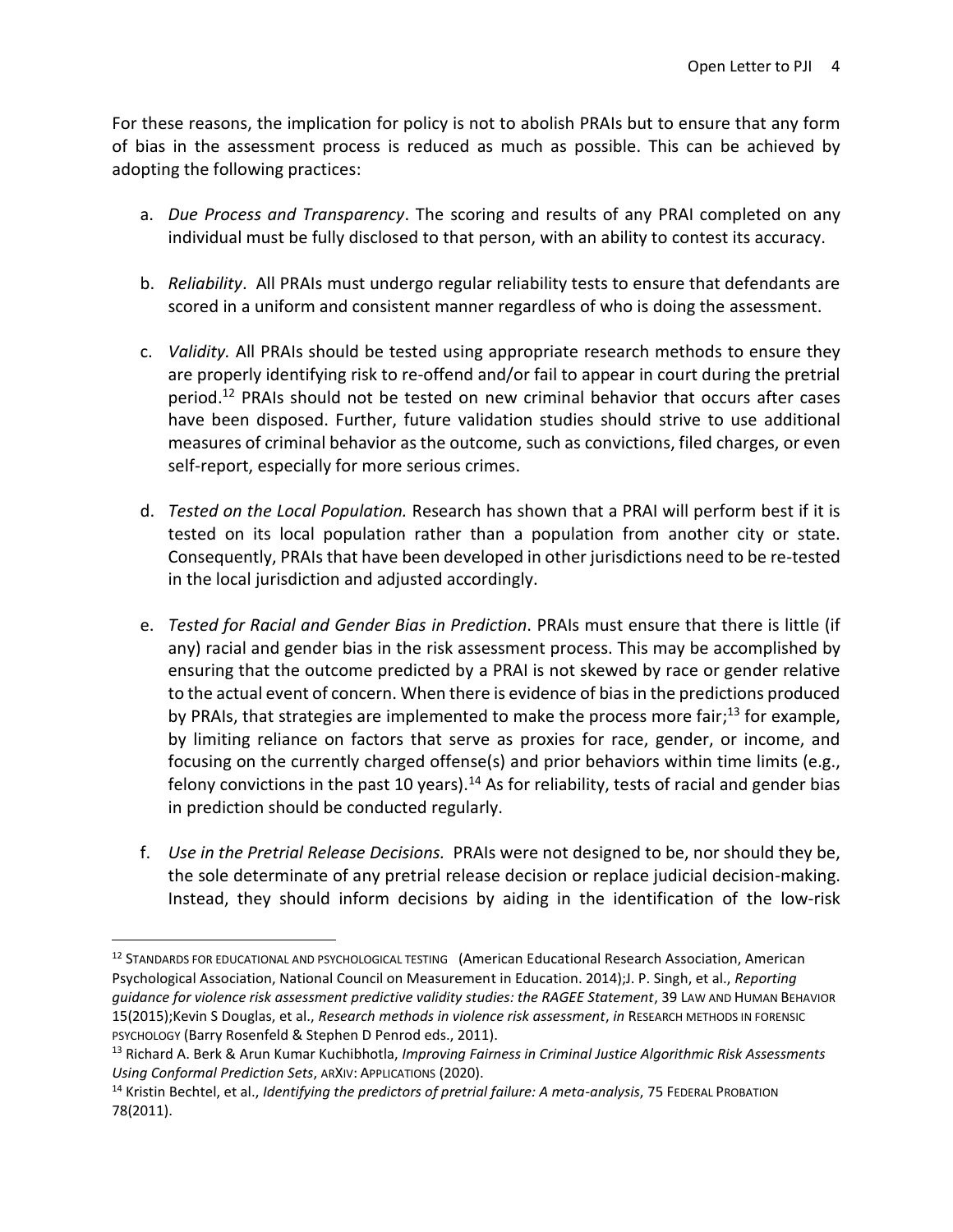For these reasons, the implication for policy is not to abolish PRAIs but to ensure that any form of bias in the assessment process is reduced as much as possible. This can be achieved by adopting the following practices:

- a. *Due Process and Transparency*. The scoring and results of any PRAI completed on any individual must be fully disclosed to that person, with an ability to contest its accuracy.
- b. *Reliability*. All PRAIs must undergo regular reliability tests to ensure that defendants are scored in a uniform and consistent manner regardless of who is doing the assessment.
- c. *Validity.* All PRAIs should be tested using appropriate research methods to ensure they are properly identifying risk to re-offend and/or fail to appear in court during the pretrial period.<sup>12</sup> PRAIs should not be tested on new criminal behavior that occurs after cases have been disposed. Further, future validation studies should strive to use additional measures of criminal behavior as the outcome, such as convictions, filed charges, or even self-report, especially for more serious crimes.
- d. *Tested on the Local Population.* Research has shown that a PRAI will perform best if it is tested on its local population rather than a population from another city or state. Consequently, PRAIs that have been developed in other jurisdictions need to be re-tested in the local jurisdiction and adjusted accordingly.
- e. *Tested for Racial and Gender Bias in Prediction*. PRAIs must ensure that there is little (if any) racial and gender bias in the risk assessment process. This may be accomplished by ensuring that the outcome predicted by a PRAI is not skewed by race or gender relative to the actual event of concern. When there is evidence of bias in the predictions produced by PRAIs, that strategies are implemented to make the process more fair;<sup>13</sup> for example, by limiting reliance on factors that serve as proxies for race, gender, or income, and focusing on the currently charged offense(s) and prior behaviors within time limits (e.g., felony convictions in the past 10 years).<sup>14</sup> As for reliability, tests of racial and gender bias in prediction should be conducted regularly.
- f. *Use in the Pretrial Release Decisions.* PRAIs were not designed to be, nor should they be, the sole determinate of any pretrial release decision or replace judicial decision-making. Instead, they should inform decisions by aiding in the identification of the low-risk

<sup>&</sup>lt;sup>12</sup> STANDARDS FOR EDUCATIONAL AND PSYCHOLOGICAL TESTING (American Educational Research Association, American Psychological Association, National Council on Measurement in Education. 2014);J. P. Singh, et al., *Reporting guidance for violence risk assessment predictive validity studies: the RAGEE Statement*, 39 LAW AND HUMAN BEHAVIOR 15(2015);Kevin S Douglas, et al., *Research methods in violence risk assessment*, *in* RESEARCH METHODS IN FORENSIC PSYCHOLOGY (Barry Rosenfeld & Stephen D Penrod eds., 2011).

<sup>13</sup> Richard A. Berk & Arun Kumar Kuchibhotla, *Improving Fairness in Criminal Justice Algorithmic Risk Assessments Using Conformal Prediction Sets*, ARXIV: APPLICATIONS (2020).

<sup>14</sup> Kristin Bechtel, et al., *Identifying the predictors of pretrial failure: A meta-analysis*, 75 FEDERAL PROBATION 78(2011).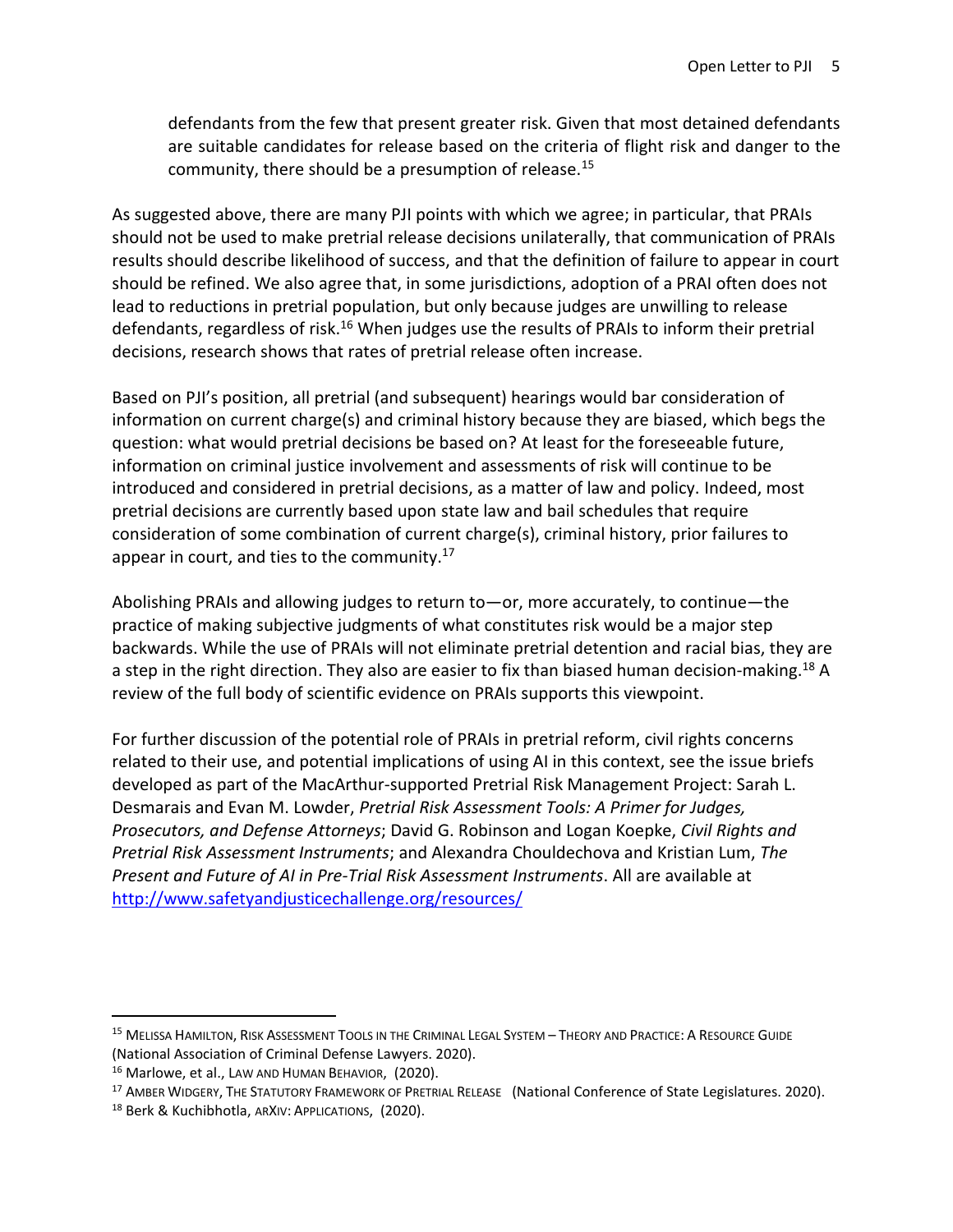defendants from the few that present greater risk. Given that most detained defendants are suitable candidates for release based on the criteria of flight risk and danger to the community, there should be a presumption of release.<sup>15</sup>

As suggested above, there are many PJI points with which we agree; in particular, that PRAIs should not be used to make pretrial release decisions unilaterally, that communication of PRAIs results should describe likelihood of success, and that the definition of failure to appear in court should be refined. We also agree that, in some jurisdictions, adoption of a PRAI often does not lead to reductions in pretrial population, but only because judges are unwilling to release defendants, regardless of risk.<sup>16</sup> When judges use the results of PRAIs to inform their pretrial decisions, research shows that rates of pretrial release often increase.

Based on PJI's position, all pretrial (and subsequent) hearings would bar consideration of information on current charge(s) and criminal history because they are biased, which begs the question: what would pretrial decisions be based on? At least for the foreseeable future, information on criminal justice involvement and assessments of risk will continue to be introduced and considered in pretrial decisions, as a matter of law and policy. Indeed, most pretrial decisions are currently based upon state law and bail schedules that require consideration of some combination of current charge(s), criminal history, prior failures to appear in court, and ties to the community. $17$ 

Abolishing PRAIs and allowing judges to return to—or, more accurately, to continue—the practice of making subjective judgments of what constitutes risk would be a major step backwards. While the use of PRAIs will not eliminate pretrial detention and racial bias, they are a step in the right direction. They also are easier to fix than biased human decision-making.<sup>18</sup> A review of the full body of scientific evidence on PRAIs supports this viewpoint.

For further discussion of the potential role of PRAIs in pretrial reform, civil rights concerns related to their use, and potential implications of using AI in this context, see the issue briefs developed as part of the MacArthur-supported Pretrial Risk Management Project: Sarah L. Desmarais and Evan M. Lowder, *[Pretrial Risk Assessment Tools: A Primer for Judges,](http://www.safetyandjusticechallenge.org/resource/pretrial-risk-assessment-tools-a-primer-for-judges-prosecutors-and-defense-attorneys/)  [Prosecutors, and Defense Attorneys](http://www.safetyandjusticechallenge.org/resource/pretrial-risk-assessment-tools-a-primer-for-judges-prosecutors-and-defense-attorneys/)*; David G. Robinson and Logan Koepke, *[Civil Rights and](http://www.safetyandjusticechallenge.org/resource/civil-rights-and-pretrial-risk-assessment-instruments/)  [Pretrial Risk Assessment Instruments](http://www.safetyandjusticechallenge.org/resource/civil-rights-and-pretrial-risk-assessment-instruments/)*; and Alexandra Chouldechova and Kristian Lum, *[The](http://www.safetyandjusticechallenge.org/resource/the-present-and-future-of-ai-in-pre-trial-risk-assessment-instruments/)  [Present and Future of AI in Pre-Trial Risk Assessment Instruments](http://www.safetyandjusticechallenge.org/resource/the-present-and-future-of-ai-in-pre-trial-risk-assessment-instruments/)*. All are available at <http://www.safetyandjusticechallenge.org/resources/>

<sup>15</sup> MELISSA HAMILTON, RISK ASSESSMENT TOOLS IN THE CRIMINAL LEGAL SYSTEM – THEORY AND PRACTICE: A RESOURCE GUIDE (National Association of Criminal Defense Lawyers. 2020).

<sup>16</sup> Marlowe, et al., LAW AND HUMAN BEHAVIOR, (2020).

<sup>&</sup>lt;sup>17</sup> AMBER WIDGERY, THE STATUTORY FRAMEWORK OF PRETRIAL RELEASE (National Conference of State Legislatures. 2020).

<sup>18</sup> Berk & Kuchibhotla, ARXIV: APPLICATIONS, (2020).